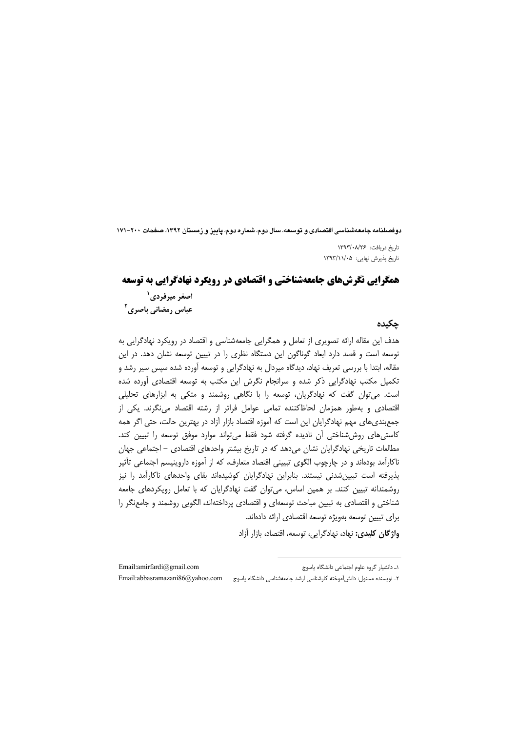دوفصلنامه جامعهشناسی اقتصادی و توسعه، سال دوم، شماره دوم، پاییز و زمستان ۱۳۹۲، صفحات ۲۰۰–۱۷۱

تاريخ دريافت: ١٣٩٣/٠٨/٢۶ تاریخ پذیرش نهایی: ۱۳۹۳/۱۱/۰۵

## همگرایی نگرشهای جامعهشناختی و اقتصادی در رویکرد نهادگرایی به توسعه

اصغر میرفردی` عباس رمضانی باصری<sup>۲</sup>

### حكىدە

هدف این مقاله ارائه تصویری از تعامل و همگرایی جامعهشناسی و اقتصاد در رویکرد نهادگرایی به توسعه است و قصد دارد ابعاد گوناگون این دستگاه نظری را در تبیین توسعه نشان دهد. در این مقاله، ابتدا با بررسی تعریف نهاد، دیدگاه میردال به نهادگرایی و توسعه آورده شده سپس سیر رشد و تکمیل مکتب نهادگرایی ذکر شده و سرانجام نگرش این مکتب به توسعه اقتصادی آورده شده است. می توان گفت که نهادگریان، توسعه را با نگاهی روشمند و متکی به ابزارهای تحلیلی اقتصادی و بهطور همزمان لحاظکننده تمامی عوامل فراتر از رشته اقتصاد می نگرند. یکی از جمع بندی های مهم نهادگرایان این است که آموزه اقتصاد بازار آزاد در بهترین حالت، حتی اگر همه کاستی های روش شناختی آن نادیده گرفته شود فقط می تواند موارد موفق توسعه را تبیین کند. مطالعات تاریخی نهادگرایان نشان میدهد که در تاریخ بیشتر واحدهای اقتصادی - اجتماعی جهان ناکارآمد بودهاند و در چارچوب الگوی تبیینی اقتصاد متعارف، که از آموزه داروینیسم اجتماعی تأثیر پذیرفته است تبیینشدنی نیستند. بنابراین نهادگرایان کوشیدهاند بقای واحدهای ناکارآمد را نیز روشمندانه تبیین کنند. بر همین اساس، می توان گفت نهادگرایان که با تعامل رویکردهای جامعه شناختی و اقتصادی به تبیین مباحث توسعهای و اقتصادی پرداختهاند، الگویی روشمند و جامعنگر را برای تبیین توسعه بهویژه توسعه اقتصادی ارائه دادهاند.

واژگان کلیدی: نهاد، نهادگرایی، توسعه، اقتصاد، بازار آزاد

Email:amirfardi@gmail.com ١ـ دانشيار گروه علوم اجتماعي دانشگاه ياسوج ٢\_نويسنده مسئول: دانش آموخته كارشناسي ارشد جامعهشناسي دانشگاه ياسوج Email:abbasramazani86@yahoo.com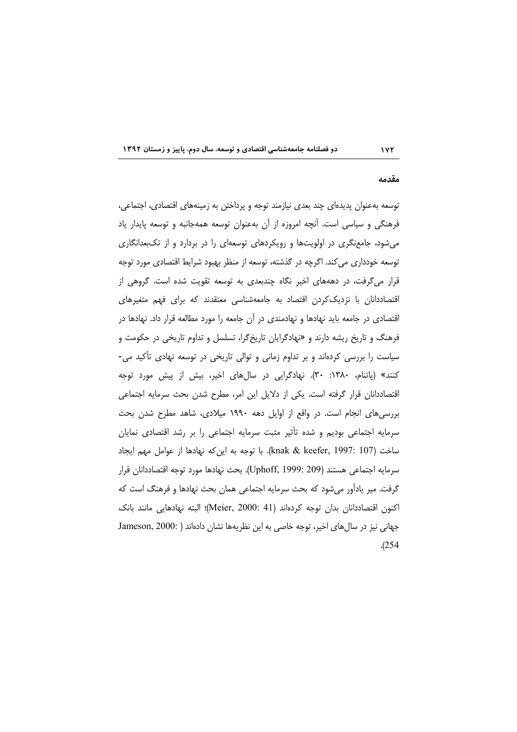### مقدمه

177

توسعه بهعنوان پدیدهای چند بعدی نیازمند توجه و پرداختن به زمینههای اقتصادی، اجتماعی، فرهنگی و سیاسی است. آنچه امروزه از آن بهعنوان توسعه همهجانبه و توسعه پایدار یاد میشود، جامعنگری در اولویتها و رویکردهای توسعهای را در بردارد و از تکبعدانگاری توسعه خودداری می کند. اگرچه در گذشته، توسعه از منظر بهبود شرایط اقتصادی مورد توجه قرار می گرفت، در دهههای اخیر نگاه چندبعدی به توسعه تقویت شده است. گروهی از اقتصاددانان با نزدیککردن اقتصاد به جامعهشناسی معتقدند که برای فهم متغیرهای اقتصادی در جامعه باید نهادها و نهادمندی در آن جامعه را مورد مطالعه قرار داد. نهادها در فرهنگ و تاریخ ریشه دارند و «نهادگرایان تاریخگرا، تسلسل و تداوم تاریخی در حکوم*ت* و سیاست را بررسی کردهاند و بر تداوم زمانی و توالی تاریخی در توسعه نهادی تأکید می-کنند» (پاتنام، ۱۳۸۰: ۳۰). نهادگرایی در سالهای اخیر، بیش از پیش مورد توجه اقتصاددانان قرار گرفته است. یکی از دلایل این امر، مطرح شدن بحث سرمایه اجتماعی بررسی های انجام است. در واقع از اوایل دهه ۱۹۹۰ میلادی، شاهد مطرح شدن بحث سرمایه اجتماعی بودیم و شده تأثیر مثبت سرمایه اجتماعی را بر رشد اقتصادی نمایان ساخت (107 :1997 knak & keefer,). با توجه به این که نهادها از عوامل مهم ایجاد سرمايه اجتماعي هستند (Uphoff, 1999: 209). بحث نهادها مورد توجه اقتصاددانان قرار گرفت. میر یادآور میشود که بحث سرمایه اجتماعی همان بحث نهادها و فرهنگ است که اكنون اقتصاددانان بدان توجه كردهاند (Meier, 2000: 41)؛ البته نهادهايي مانند بانك جهانی نیز در سال های اخیر، توجه خاصی به این نظریهها نشان دادهاند ( .Jameson, 2000  $. (254)$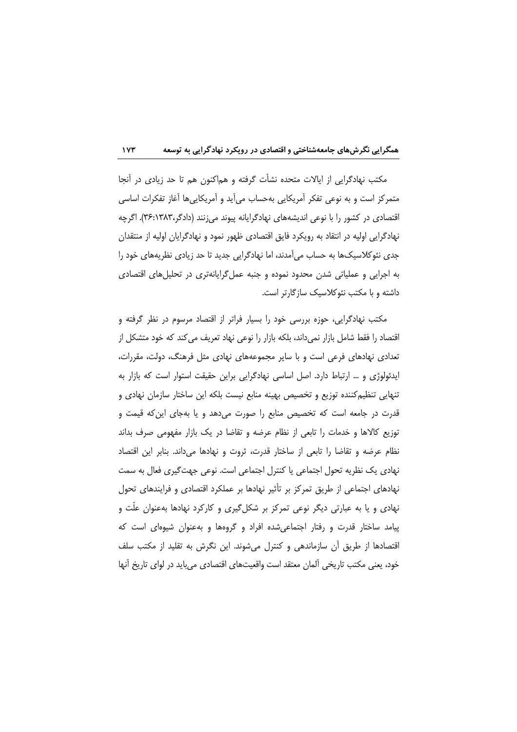مکتب نهادگرایی از ایالات متحده نشأت گرفته و هماکنون هم تا حد زیادی در آنجا متمرکز است و به نوعی تفکر آمریکایی بهحساب میآید و آمریکاییها آغاز تفکرات اساسی اقتصادی در کشور را با نوعی اندیشههای نهادگرایانه پیوند میزنند (دادگر،۳۸۳:۱۳۶). اگرچه نهادگرایی اولیه در انتقاد به رویکرد فایق اقتصادی ظهور نمود و نهادگرایان اولیه از منتقدان جدی نئوکلاسیکها به حساب می|مدند، اما نهادگرایی جدید تا حد زیادی نظریههای خود را به اجرایی و عملیاتی شدن محدود نموده و جنبه عمل¢رایانهتری در تحلیل های اقتصادی داشته و با مکتب نئوکلاسیک سازگارتر است.

مکتب نهادگرایی، حوزه بررسی خود را بسیار فراتر از اقتصاد مرسوم در نظر گرفته و اقتصاد را فقط شامل بازار نمیداند، بلکه بازار را نوعی نهاد تعریف می کند که خود متشکل از تعدادی نهادهای فرعی است و با سایر مجموعههای نهادی مثل فرهنگ، دولت، مقررات، ایدئولوژی و … ارتباط دارد. اصل اساسی نهادگرایی براین حقیقت استوار است که بازار به تنهایی تنظیمکننده توزیع و تخصیص بهینه منابع نیست بلکه این ساختار سازمان نهادی و قدرت در جامعه است که تخصیص منابع را صورت میدهد و یا بهجای این که قیمت و توزیع کالاها و خدمات را تابعی از نظام عرضه و تقاضا در یک بازار مفهومی صرف بداند نظام عرضه و تقاضا را تابعي از ساختار قدرت، ثروت و نهادها مي داند. بنابر اين اقتصاد نهادی یک نظریه تحول اجتماعی یا کنترل اجتماعی است. نوعی جهتگیری فعال به سمت نهادهای اجتماعی از طریق تمرکز بر تأثیر نهادها بر عملکرد اقتصادی و فرایندهای تحول نهادی و یا به عبارتی دیگر نوعی تمرکز بر شکل¢یری و کارکرد نهادها بهعنوان علّت و پیامد ساختار قدرت و رفتار اجتماعی شده افراد و گروهها و بهعنوان شیوهای است که اقتصادها از طریق آن سازماندهی و کنترل میشوند. این نگرش به تقلید از مکتب سلف خود، یعنی مکتب تاریخی ألمان معتقد است واقعیتهای اقتصادی میباید در لوای تاریخ انها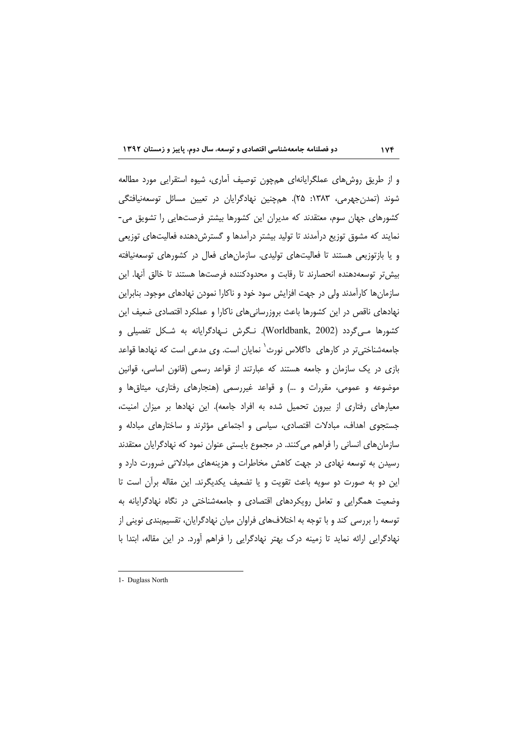و از طریق روشهای عملگرایانهای همچون توصیف آماری، شیوه استقرایی مورد مطالعه شوند (تمدنجهرمی، ۱۳۸۳: ۲۵). همچنین نهادگرایان در تعیین مسائل توسعهنیافتگی کشورهای جهان سوم، معتقدند که مدیران این کشورها بیشتر فرصتهایی را تشویق می-نمایند که مشوق توزیع درآمدند تا تولید بیشتر درآمدها و گسترشدهنده فعالیتهای توزیعی و یا بازتوزیعی هستند تا فعالیتهای تولیدی. سازمانهای فعال در کشورهای توسعهنیافته بيش تر توسعه دهنده انحصارند تا رقابت و محدودكننده فرصتها هستند تا خالق آنها. اين سازمانها کارآمدند ولی در جهت افزایش سود خود و ناکارا نمودن نهادهای موجود. بنابراین نهادهای ناقص در این کشورها باعث بروزرسانیهای ناکارا و عملکرد اقتصادی ضعیف این کشورها مےگردد (Worldbank, 2002). نگرش نـهادگرایانه به شـكل تفصیلی و جامعهشناختی تر در کارهای داگلاس نورث نمایان است. وی مدعی است که نهادها قواعد بازی در یک سازمان و جامعه هستند که عبارتند از قواعد رسمی (قانون اساسی، قوانین موضوعه و عمومی، مقررات و …) و قواعد غیررسمی (هنجارهای رفتاری، میثاق ها و معیارهای رفتاری از بیرون تحمیل شده به افراد جامعه). این نهادها بر میزان امنیت، جستجوی اهداف، مبادلات اقتصادی، سیاسی و اجتماعی مؤثرند و ساختارهای مبادله و سازمانهای انسانی را فراهم می کنند. در مجموع بایستی عنوان نمود که نهادگرایان معتقدند رسیدن به توسعه نهادی در جهت کاهش مخاطرات و هزینههای مبادلاتی ضرورت دارد و این دو به صورت دو سویه باعث تقویت و یا تضعیف یکدیگرند. این مقاله برأن است تا وضعیت همگرایی و تعامل رویکردهای اقتصادی و جامعهشناختی در نگاه نهادگرایانه به توسعه را بررسی کند و با توجه به اختلافهای فراوان میان نهادگرایان، تقسیمبندی نوینی از نهادگرایی ارائه نماید تا زمینه درک بهتر نهادگرایی را فراهم آورد. در این مقاله، ابتدا با

<sup>1-</sup> Duglass North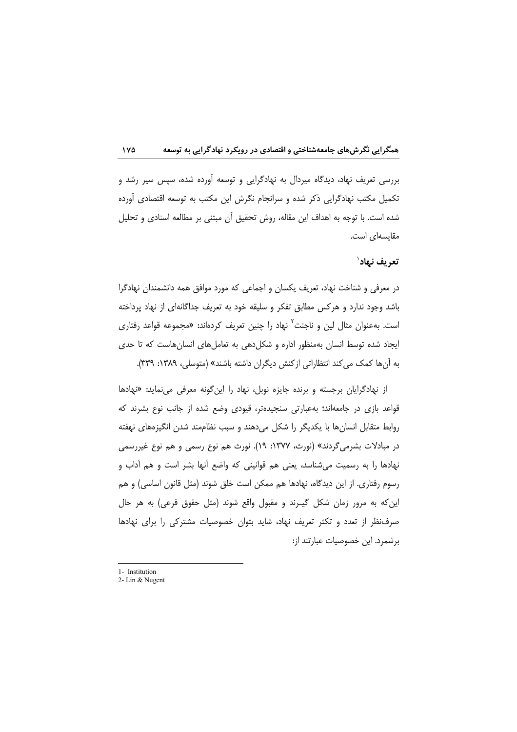بررسی تعریف نهاد، دیدگاه میردال به نهادگرایی و توسعه آورده شده، سپس سیر رشد و تکمیل مکتب نهادگرایی ذکر شده و سرانجام نگرش این مکتب به توسعه اقتصادی آورده شده است. با توجه به اهداف این مقاله، روش تحقیق آن مبتنی بر مطالعه اسنادی و تحلیل مقایسهای است.

## تعريف نهاد`

در معرفی و شناخت نهاد، تعریف یکسان و اجماعی که مورد موافق همه دانشمندان نهادگرا باشد وجود ندارد و هرکس مطابق تفکر و سلیقه خود به تعریف جداگانهای از نهاد پرداخته است. بهعنوان مثال لین و ناجنت<sup>٬</sup> نهاد را چنین تعریف کردهاند: «مجموعه قواعد رفتاری ایجاد شده توسط انسان بهمنظور اداره و شکل دهی به تعامل های انسان هاست که تا حدی به آنها کمک می کند انتظاراتی ازکنش دیگران داشته باشند» (متوسلی، ۱۳۸۹: ۳۳۹).

از نهادگرایان برجسته و برنده جایزه نوبل، نهاد را این گونه معرفی می نماید: «نهادها قواعد بازی در جامعهاند؛ بهعبارتی سنجیدهتر، قیودی وضع شده از جانب نوع بشرند که روابط متقابل انسانها با يكديگر را شكل مىدهند و سبب نظاممند شدن انگيزههاى نهفته در مبادلات بشرمی گردند» (نورث، ۱۳۷۷: ۱۹). نورث هم نوع رسمی و هم نوع غیررسمی نهادها را به رسمیت می شناسد، یعنی هم قوانینی که واضع آنها بشر است و هم آداب و رسوم رفتاری. از این دیدگاه، نهادها هم ممکن است خلق شوند (مثل قانون اساسی) و هم این که به مرور زمان شکل گیـرند و مقبول واقع شوند (مثل حقوق فرعی) به هر حال صرف نظر از تعدد و تكثر تعريف نهاد، شايد بتوان خصوصيات مشتركي را براي نهادها برشمرد. این خصوصیات عبارتند از:

<sup>1-</sup> Institution

<sup>2-</sup> Lin & Nugent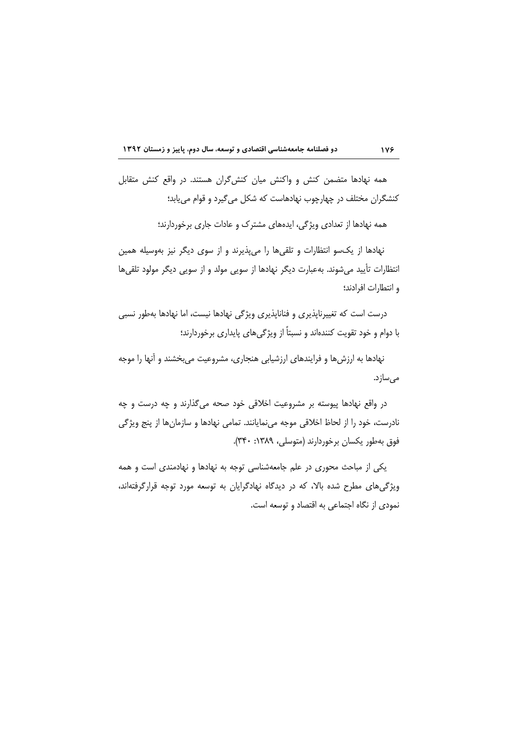همه نهادها متضمن كنش و واكنش ميان كنش گران هستند. در واقع كنش متقابل کنشگران مختلف در چهارچوب نهادهاست که شکل میگیرد و قوام مییابد؛

همه نهادها از تعدادی ویژگی، ایدههای مشترک و عادات جاری برخوردارند؛

نهادها از یکسو انتظارات و تلقیها را میپذیرند و از سوی دیگر نیز بهوسیله همین انتظارات تأييد مي شوند. بهعبارت ديگر نهادها از سويي مولد و از سويي ديگر مولود تلقيها و انتطارات افرادند؛

درست است که تغییرناپذیری و فناناپذیری ویژگی نهادها نیست، اما نهادها بهطور نسبی با دوام و خود تقویت کنندهاند و نسبتاً از ویژگیهای پایداری برخوردارند؛

نهادها به ارزشها و فرایندهای ارزشیابی هنجاری، مشروعیت میبخشند و آنها را موجه می ساز د.

در واقع نهادها پیوسته بر مشروعیت اخلاقی خود صحه میگذارند و چه درست و چه نادرست، خود را از لحاظ اخلاقی موجه مینمایانند. تمامی نهادها و سازمانها از پنج ویژگی فوق بهطور يكسان برخوردارند (متوسلي، ١٣٨٩: ٣٣٠).

یکی از مباحث محوری در علم جامعهشناسی توجه به نهادها و نهادمندی است و همه ویژگیهای مطرح شده بالا، که در دیدگاه نهادگرایان به توسعه مورد توجه قرارگرفتهاند، نمودی از نگاه اجتماعی به اقتصاد و توسعه است.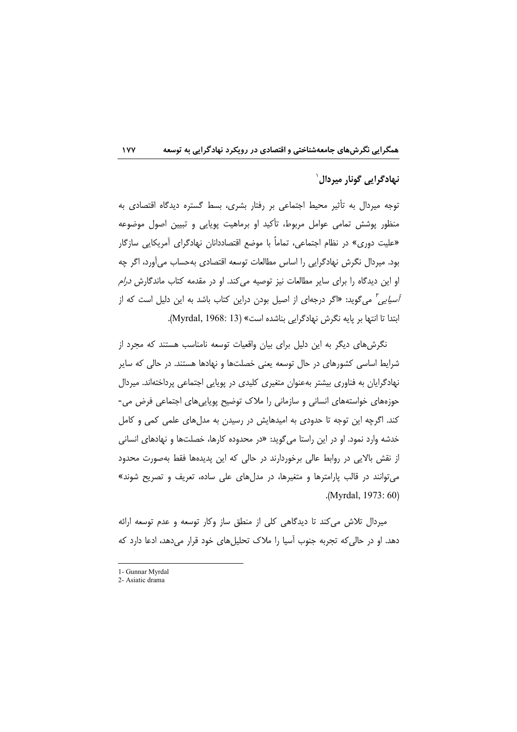# نهادگرایی گونار میردال`

توجه میردال به تأثیر محیط اجتماعی بر رفتار بشری، بسط گستره دیدگاه اقتصادی به منظور یوشش تمامی عوامل مربوط، تأکید او برماهیت یوپایی و تبیین اصول موضوعه «علیت دوری» در نظام اجتماعی، تماماً با موضع اقتصاددانان نهادگرای آمریکایی سازگار بود. میردال نگرش نهادگرایی را اساس مطالعات توسعه اقتصادی بهحساب می آورد، اگر چه او این دیدگاه را برای سایر مطالعات نیز توصیه می کند. او در مقدمه کتاب ماندگارش *درام آسیایی آ* می گوید: «اگر درجهای از اصیل بودن دراین کتاب باشد به این دلیل است که از ابتدا تا انتها بر پایه نگرش نهادگرایی بناشده است» (Myrdal, 1968: 13).

نگرشهای دیگر به این دلیل برای بیان واقعیات توسعه نامناسب هستند که مجرد از شرایط اساسی کشورهای در حال توسعه یعنی خصلتها و نهادها هستند. در حالی که سایر نهادگرایان به فناوری بیشتر بهعنوان متغیری کلیدی در پویایی اجتماعی پرداختهاند. میردال حوزههای خواستههای انسانی و سازمانی را ملاک توضیح پویاییهای اجتماعی فرض می-کند. اگرچه این توجه تا حدودی به امیدهایش در رسیدن به مدلهای علمی کمی و کامل خدشه وارد نمود. او در این راستا میگوید: «در محدوده کارها، خصلتها و نهادهای انسانی از نقش بالایی در روابط عالی برخوردارند در حالی که این پدیدهها فقط بهصورت محدود می توانند در قالب پارامترها و متغیرها، در مدلهای علی ساده، تعریف و تصریح شوند» .(Myrdal, 1973: 60)

میردال تلاش می کند تا دیدگاهی کلی از منطق ساز وکار توسعه و عدم توسعه ارائه دهد. او در حالی که تجربه جنوب آسیا را ملاک تحلیل های خود قرار می دهد، ادعا دارد که

<sup>1-</sup> Gunnar Myrdal

<sup>2.</sup> Asiatic drama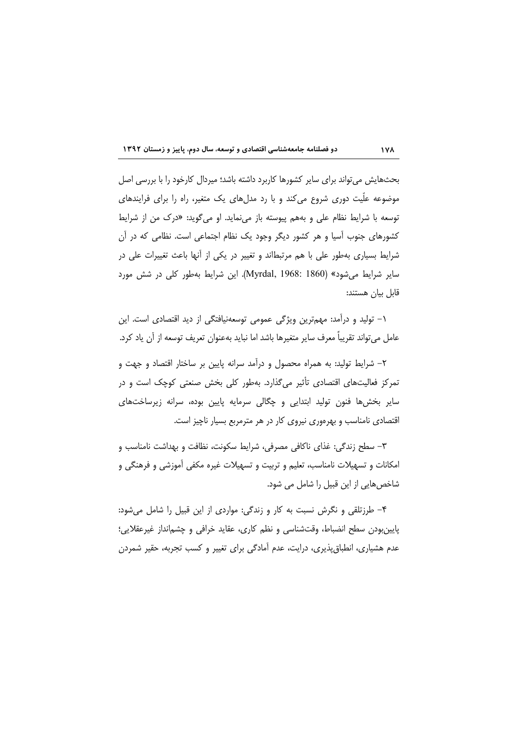بحثهایش می تواند برای سایر کشورها کاربرد داشته باشد؛ میردال کارخود را با بررسی اصل موضوعه علّیت دوری شروع میکند و با رد مدلهای یک متغیر، راه را برای فرایندهای توسعه با شرایط نظام علی و بههم پیوسته باز می نماید. او میگوید: «درک من از شرایط کشورهای جنوب آسیا و هر کشور دیگر وجود یک نظام اجتماعی است. نظامی که در آن شرایط بسیاری بهطور علی با هم مرتبطاند و تغییر در یکی از آنها باعث تغییرات علی در سایر شرایط می شود» (Myrdal, 1968: 1860). این شرایط بهطور کلی در شش مورد قابل بيان هستند:

۱– تولید و درآمد: مهمترین ویژگی عمومی توسعهنیافتگی از دید اقتصادی است. این عامل مي تواند تقريباً معرف ساير متغيرها باشد اما نبايد بهعنوان تعريف توسعه از آن ياد كرد.

۲– شرایط تولید: به همراه محصول و درآمد سرانه پایین بر ساختار اقتصاد و جهت و تمرکز فعالیتهای اقتصادی تأثیر میگذارد. بهطور کلی بخش صنعتی کوچک است و در سایر بخشها فنون تولید ابتدایی و چگالی سرمایه پایین بوده، سرانه زیرساختهای اقتصادی نامناسب و بهرهوری نیروی کار در هر مترمربع بسیار ناچیز است.

٣- سطح زندگي: غذاي ناكافي مصرفي، شرايط سكونت، نظافت و بهداشت نامناسب و امکانات و تسهیلات نامناسب، تعلیم و تربیت و تسهیلات غیره مکفی آموزشی و فرهنگی و شاخصهایی از این قبیل را شامل می شود.

۴– طرزتلقی و نگرش نسبت به کار و زندگی: مواردی از این قبیل را شامل میشود: پایینبودن سطح انضباط، وقتشناسی و نظم کاری، عقاید خرافی و چشمانداز غیرعقلایی؛ عدم هشیاری، انطباق پذیری، درایت، عدم آمادگی برای تغییر و کسب تجربه، حقیر شمردن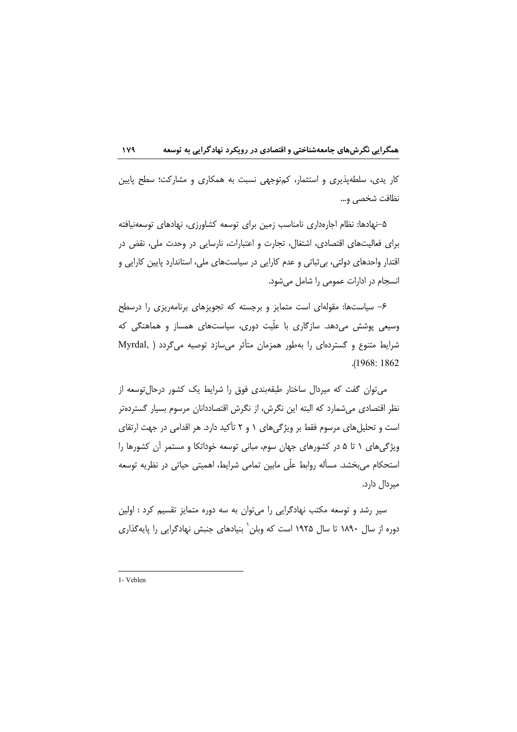کار یدی، سلطهپذیری و استثمار، کمتوجهی نسبت به همکاری و مشارکت؛ سطح پایین نظافت شخصی و…

۵–نهادها: نظام اجارهداری نامناسب زمین برای توسعه کشاورزی، نهادهای توسعهنیافته برای فعالیتهای اقتصادی، اشتغال، تجارت و اعتبارات، نارسایی در وحدت ملی، نقض در اقتدار واحدهای دولتی، بی ثباتی و عدم کارایی در سیاستهای ملی، استاندارد پایین کارایی و انسجام در ادارات عمومی را شامل می شود.

۶– سیاستها: مقولهای است متمایز و برجسته که تجویزهای برنامهریزی را درسطح وسیعی پوشش میدهد. سازگاری با علّیت دوری، سیاستهای همساز و هماهنگی که شرایط متنوع و گستردهای را بهطور همزمان متأثر می سازد توصیه میگردد ( Myrdal, .(1968: 1862

می توان گفت که میردال ساختار طبقهبندی فوق را شرایط یک کشور درحال توسعه از نظر اقتصادی میشمارد که البته این نگرش، از نگرش اقتصاددانان مرسوم بسیار گستردهتر است و تحلیلهای مرسوم فقط بر ویژگیهای ۱ و ۲ تأکید دارد. هر اقدامی در جهت ارتقای ویژگیهای ۱ تا ۵ در کشورهای جهان سوم، مبانی توسعه خوداتکا و مستمر آن کشورها را استحکام می،بخشد. مسأله روابط علّی مابین تمامی شرایط، اهمیتی حیاتی در نظریه توسعه میردال دارد.

سیر رشد و توسعه مکتب نهادگرایی را میتوان به سه دوره متمایز تقسیم کرد : اولین دوره از سال ۱۸۹۰ تا سال ۱۹۲۵ است که وبلن ٰ بنیادهای جنبش نهادگرایی را پایهگذاری

1- Veblen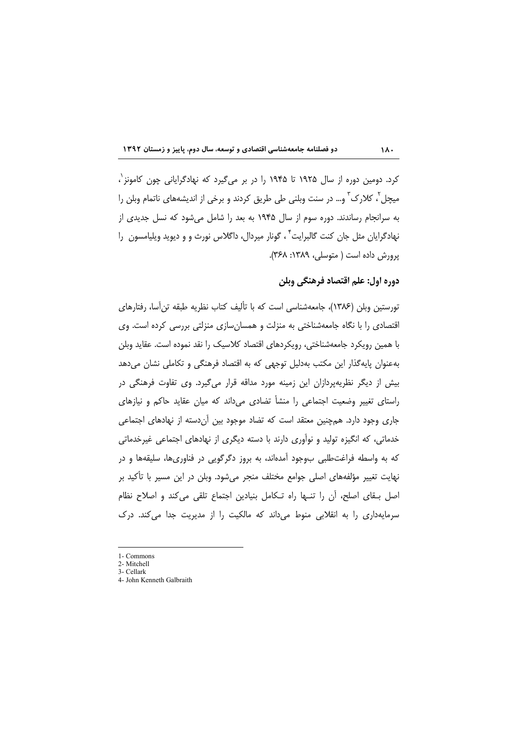کرد. دومین دوره از سال ۱۹۲۵ تا ۱۹۴۵ را در بر می¢یرد که نهادگرایانی چون کامونز`، میچل ٔ، کلارک ؑ و… در سنت وبلنی طی طریق کردند و برخی از اندیشههای ناتمام وبلن را به سرانجام رساندند. دوره سوم از سال ۱۹۴۵ به بعد را شامل میشود که نسل جدیدی از نهادگرایان مثل جان کنت گالبرایت ٌ ، گونار میردال، داگلاس نورث و و دیوید ویلیامسون ِ را یرورش داده است ( متوسلی، ۱۳۸۹: ۳۶۸).

## دو, ه اول: علم اقتصاد فرهنگي وبلن

 $1\lambda$ 

تورستین وبلن (۱۳۸۶)، جامعهشناسی است که با تألیف کتاب نظریه طبقه تن آسا، رفتارهای اقتصادی را با نگاه جامعهشناختی به منزلت و همسانسازی منزلتی بررسی کرده است. وی با همین رویکرد جامعهشناختی، رویکردهای اقتصاد کلاسیک را نقد نموده است. عقاید وبلن بهعنوان پایهگذار این مکتب بهدلیل توجهی که به اقتصاد فرهنگی و تکاملی نشان میدهد بیش از دیگر نظریهپردازان این زمینه مورد مداقه قرار میگیرد. وی تفاوت فرهنگی در راستای تغییر وضعیت اجتماعی را منشأ تضادی می۱داند که میان عقاید حاکم و نیازهای جاری وجود دارد. همچنین معتقد است که تضاد موجود بین آندسته از نهادهای اجتماعی خدماتی، که انگیزه تولید و نوآوری دارند با دسته دیگری از نهادهای اجتماعی غیرخدماتی که به واسطه فراغتطلبی بوجود آمدهاند، به بروز دگرگویی در فناوریها، سلیقهها و در نهایت تغییر مؤلفههای اصلی جوامع مختلف منجر میشود. وبلن در این مسیر با تأکید بر اصل بـقاى اصلح، أن را تنـها راه تـكامل بنيادين اجتماع تلقى مى كند و اصلاح نظام سرمایهداری را به انقلابی منوط می داند که مالکیت را از مدیریت جدا می کند. درک

<sup>1-</sup> Commons

<sup>2-</sup> Mitchell 3- Cellark

<sup>4-</sup> John Kenneth Galbraith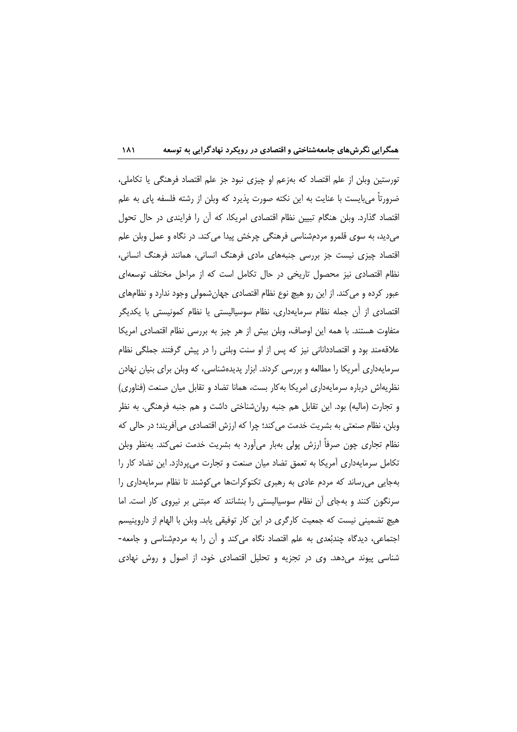تورستین وبلن از علم اقتصاد که بهزعم او چیزی نبود جز علم اقتصاد فرهنگی یا تکاملی، ضرورتاً می!یست با عنایت به این نکته صورت پذیرد که وبلن از رشته فلسفه پای به علم اقتصاد گذارد. وبلن هنگام تبیین نظام اقتصادی امریکا، که آن را فرایندی در حال تحول میدید، به سوی قلمرو مردمشناسی فرهنگی چرخش پیدا می کند. در نگاه و عمل وبلن علم اقتصاد چیزی نیست جز بررسی جنبههای مادی فرهنگ انسانی، همانند فرهنگ انسانی، نظام اقتصادی نیز محصول تاریخی در حال تکامل است که از مراحل مختلف توسعهای عبور کرده و می کند. از این رو هیچ نوع نظام اقتصادی جهانشمولی وجود ندارد و نظامهای اقتصادی از آن جمله نظام سرمایهداری، نظام سوسیالیستی یا نظام کمونیستی با یکدیگر متفاوت هستند. با همه این اوصاف، وبلن بیش از هر چیز به بررسی نظام اقتصادی امریکا علاقهمند بود و اقتصاددانانی نیز که پس از او سنت وبلنی را در پیش گرفتند جملگی نظام سرمایهداری آمریکا را مطالعه و بررسی کردند. ابزار پدیدهشناسی، که وبلن برای بنیان نهادن نظریهاش درباره سرمایهداری امریکا بهکار بست، همانا تضاد و تقابل میان صنعت (فناوری) و تجارت (ماليه) بود. اين تقابل هم جنبه روانِشناختي داشت و هم جنبه فرهنگي. به نظر وبلن، نظام صنعتی به بشریت خدمت می کند؛ چرا که ارزش اقتصادی می آفریند؛ در حالی که نظام تجاری چون صرفاً ارزش پولی بهبار میأورد به بشریت خدمت نمی کند. بهنظر وبلن تکامل سرمایهداری آمریکا به تعمق تضاد میان صنعت و تجارت میپردازد. این تضاد کار را بهجایی می رساند که مردم عادی به رهبری تکنوکراتها می کوشند تا نظام سرمایهداری را سرنگون کنند و بهجای آن نظام سوسیالیستی را بنشانند که مبتنی بر نیروی کار است. اما هیچ تضمینی نیست که جمعیت کارگری در این کار توفیقی پابد. وبلن با الهام از داروینیسم اجتماعی، دیدگاه چندبُعدی به علم اقتصاد نگاه میکند و أن را به مردمشناسی و جامعه-شناسی پیوند می دهد. وی در تجزیه و تحلیل اقتصادی خود، از اصول و روش نهادی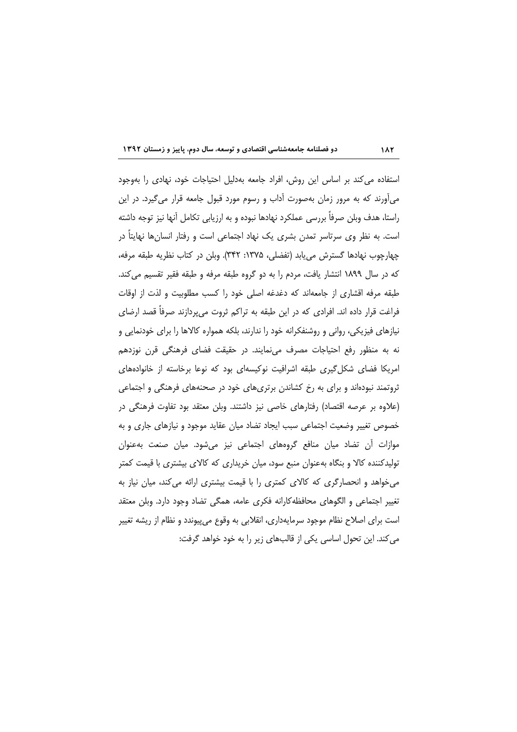استفاده می کند بر اساس این روش، افراد جامعه بهدلیل احتیاجات خود، نهادی را بهوجود می آورند که به مرور زمان بهصورت آداب و رسوم مورد قبول جامعه قرار می گیرد. در این راستا، هدف وبلن صرفاً بررسی عملکرد نهادها نبوده و به ارزیابی تکامل آنها نیز توجه داشته است. به نظر وی سرتاسر تمدن بشری یک نهاد اجتماعی است و رفتار انسانها نهایتاً در چهارچوب نهادها گسترش می یابد (تفضلی، ۱۳۷۵: ۳۴۲). وبلن در کتاب نظریه طبقه مرفه، که در سال ۱۸۹۹ انتشار یافت، مردم را به دو گروه طبقه مرفه و طبقه فقیر تقسیم می کند. طبقه مرفه اقشاری از جامعهاند که دغدغه اصلی خود را کسب مطلوبیت و لذت از اوقات فراغت قرار داده اند. افرادی که در این طبقه به تراکم ثروت میپردازند صرفاً قصد ارضای نیازهای فیزیکی، روانی و روشنفکرانه خود را ندارند، بلکه همواره کالاها را برای خودنمایی و نه به منظور رفع احتیاجات مصرف می $i$ مایند. در حقیقت فضای فرهنگی قرن نوزدهم امریکا فضای شکل گیری طبقه اشرافیت نوکیسهای بود که نوعا برخاسته از خانوادههای ثروتمند نبودهاند و برای به رخ کشاندن برتریهای خود در صحنههای فرهنگی و اجتماعی (علاوه بر عرصه اقتصاد) رفتارهای خاصی نیز داشتند. وبلن معتقد بود تفاوت فرهنگی در خصوص تغییر وضعیت اجتماعی سبب ایجاد تضاد میان عقاید موجود و نیازهای جاری و به موازات أن تضاد ميان منافع گروههاى اجتماعى نيز مى شود. ميان صنعت بهعنوان تولیدکننده کالا و بنگاه بهعنوان منبع سود، میان خریداری که کالای بیشتری با قیمت کمتر می خواهد و انحصارگری که کالای کمتری را با قیمت بیشتری ارائه می کند، میان نیاز به تغییر اجتماعی و الگوهای محافظه کارانه فکری عامه، همگی تضاد وجود دارد. وبلن معتقد است برای اصلاح نظام موجود سرمایهداری، انقلابی به وقوع میٍپیوندد و نظام از ریشه تغییر می کند. این تحول اساسی یکی از قالبهای زیر را به خود خواهد گرفت: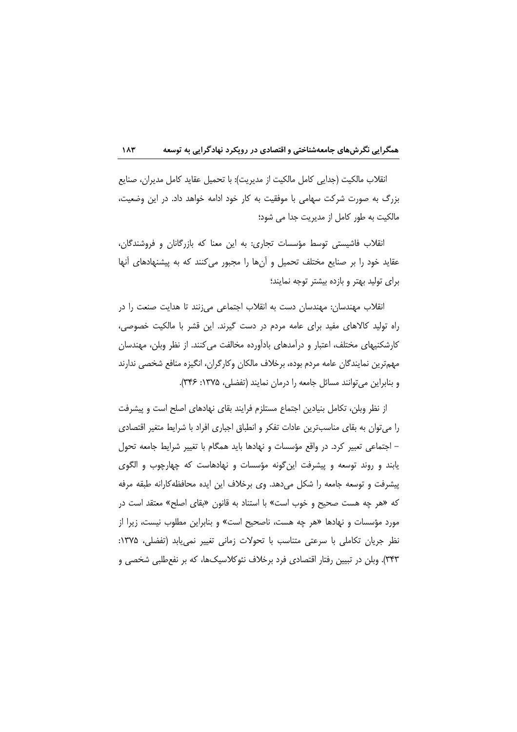انقلاب مالكيت (جدايي كامل مالكيت از مديريت): با تحميل عقايد كامل مديران، صنايع بزرگ به صورت شرکت سهامی با موفقیت به کار خود ادامه خواهد داد. در این وضعیت، مالکیت به طور کامل از مدیریت جدا می شود؛

انقلاب فاشیستی توسط مؤسسات تجاری: به این معنا که بازرگانان و فروشندگان، عقاید خود را بر صنایع مختلف تحمیل و آنها را مجبور می کنند که به پیشنهادهای آنها برای تولید بهتر و بازده بیشتر توجه نمایند؛

انقلاب مهندسان: مهندسان دست به انقلاب اجتماعی می;نند تا هدایت صنعت را در راه تولید کالاهای مفید برای عامه مردم در دست گیرند. این قشر با مالکیت خصوصی، کارشکنیهای مختلف، اعتبار و درآمدهای بادآورده مخالفت می کنند. از نظر وبلن، مهندسان مهمترين نمايندگان عامه مردم بوده، برخلاف مالكان وكارگران، انگيزه منافع شخصي ندارند و بنابراین می توانند مسائل جامعه را درمان نمایند (تفضلی، ۱۳۷۵: ۳۴۶).

از نظر وبلن، تكامل بنيادين اجتماع مستلزم فرايند بقاي نهادهاي اصلح است و پيشرفت را میتوان به بقای مناسبترین عادات تفکر و انطباق اجباری افراد با شرایط متغیر اقتصادی – اجتماعی تعبیر کرد. در واقع مؤسسات و نهادها باید همگام با تغییر شرایط جامعه تحول یابند و روند توسعه و پیشرفت اینگونه مؤسسات و نهادهاست که چهارچوب و الگوی پیشرفت و توسعه جامعه را شکل میدهد. وی برخلاف این ایده محافظه کارانه طبقه مرفه که «هر چه هست صحیح و خوب است» با استناد به قانون «بقای اصلح» معتقد است در مورد مؤسسات و نهادها «هر چه هست، ناصحیح است» و بنابراین مطلوب نیست، زیرا از نظر جریان تکاملی با سرعتی متناسب با تحولات زمانی تغییر نمی یابد (تفضلی، ۱۳۷۵: ٣۴٣). وبلن در تبيين رفتار اقتصادي فرد برخلاف نئوكلاسيكها، كه بر نفعطلبي شخصي و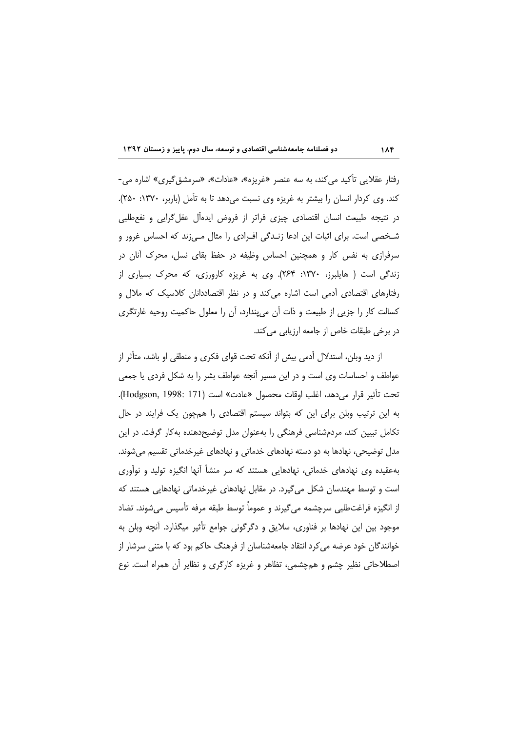رفتار عقلایی تأکید می کند، به سه عنصر «غریزه»، «عادات»، «سرمشق گیری» اشاره می-کند. وی کردار انسان را بیشتر به غریزه وی نسبت میدهد تا به تأمل (باربر، ۱۳۷۰: ۲۵۰). در نتيجه طبيعت انسان اقتصادى چيزى فراتر از فروض ايدهأل عقل گرايى و نفعطلبى شخصی است. برای اثبات این ادعا زنـدگی افـرادی را مثال مـیزند که احساس غرور و سرفرازی به نفس کار و همچنین احساس وظیفه در حفظ بقای نسل، محرک آنان در زندگی است ( هایلبرز، ۱۳۷۰: ۲۶۴). وی به غریزه کارورزی، که محرک بسیاری از رفتارهای اقتصادی اَدمی است اشاره می کند و در نظر اقتصاددانان کلاسیک که ملال و کسالت کار را جزیی از طبیعت و ذات آن میپندارد، آن را معلول حاکمیت روحیه غارتگری در برخی طبقات خاص از جامعه ارزیابی می کند.

از دید وبلن، استدلال آدمی بیش از آنکه تحت قوای فکری و منطقی او باشد، متأثر از عواطف و احساسات وي است و در اين مسير آنجه عواطف بشر را به شكل فردي يا جمعي تحت تأثير قرار مى دهد، اغلب اوقات محصول «عادت» است (Hodgson, 1998: 171). به این ترتیب وبلن برای این که بتواند سیستم اقتصادی را همچون یک فرایند در حال تکامل تبیین کند، مردمشناسی فرهنگی را بهعنوان مدل توضیحدهنده بهکار گرفت. در این مدل توضیحی، نهادها به دو دسته نهادهای خدماتی و نهادهای غیرخدماتی تقسیم می شوند. بهعقیده وی نهادهای خدماتی، نهادهایی هستند که سر منشأ آنها انگیزه تولید و نوآوری است و توسط مهندسان شکل می گیرد. در مقابل نهادهای غیرخدماتی نهادهایی هستند که از انگیزه فراغتطلبی سرچشمه می گیرند و عموماً توسط طبقه مرفه تأسیس می شوند. تضاد موجود بین این نهادها بر فناوری، سلایق و دگرگونی جوامع تأثیر میگذارد. آنچه وبلن به خوانندگان خود عرضه می کرد انتقاد جامعهشناسان از فرهنگ حاکم بود که با متنی سرشار از اصطلاحاتی نظیر چشم و همچشمی، تظاهر و غریزه کارگری و نظایر أن همراه است. نوع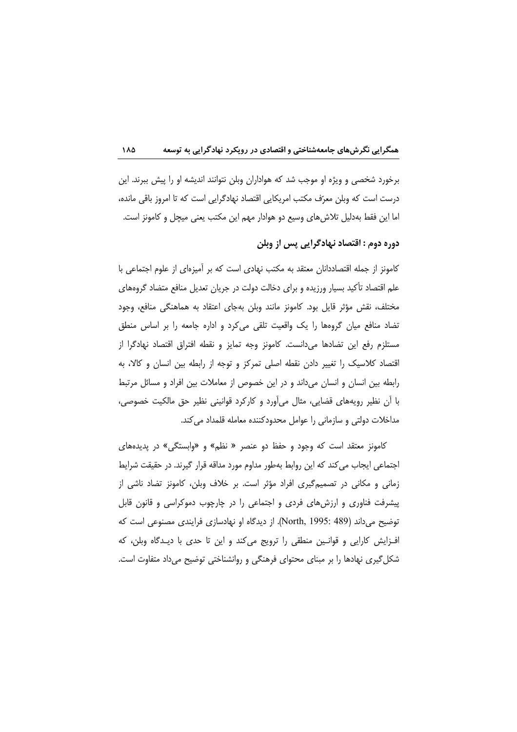برخورد شخصی و ویژه او موجب شد که هواداران وبلن نتوانند اندیشه او را پیش ببرند. این درست است که وبلن معرّف مکتب امریکایی اقتصاد نهادگرایی است که تا امروز باقی مانده، اما این فقط بهدلیل تلاشهای وسیع دو هوادار مهم این مکتب یعنی میچل و کامونز است.

# دوره دوم : اقتصاد نهادگرایی پس از وبلن

کامونز از جمله اقتصاددانان معتقد به مکتب نهادی است که بر آمیزهای از علوم اجتماعی با علم اقتصاد تأكيد بسيار ورزيده و براي دخالت دولت در جريان تعديل منافع متضاد گروههاي مختلف، نقش مؤثر قایل بود. کامونز مانند وبلن بهجای اعتقاد به هماهنگی منافع، وجود تضاد منافع میان گروهها را یک واقعیت تلقی میکرد و اداره جامعه را بر اساس منطق مستلزم رفع این تضادها میدانست. کامونز وجه تمایز و نقطه افتراق اقتصاد نهادگرا از اقتصاد کلاسیک را تغییر دادن نقطه اصلی تمرکز و توجه از رابطه بین انسان و کالا، به رابطه بین انسان و انسان میداند و در این خصوص از معاملات بین افراد و مسائل مرتبط با أن نظير رويههاي قضايي، مثال ميأورد و كاركرد قوانيني نظير حق مالكيت خصوصي، مداخلات دولتی و سازمانی را عوامل محدودکننده معامله قلمداد می کند.

کامونز معتقد است که وجود و حفظ دو عنصر « نظم» و «وابستگی» در پدیدههای اجتماعي ايجاب مي كند كه اين روابط بهطور مداوم مورد مداقه قرار گيرند. در حقيقت شرايط زمانی و مکانی در تصمیم گیری افراد مؤثر است. بر خلاف وبلن، کامونز تضاد ناشی از پیشرفت فناوری و ارزشهای فردی و اجتماعی را در چارچوب دموکراسی و قانون قابل توضيح مي داند (North, 1995: 489). از ديدگاه او نهادسازي فرايندي مصنوعي است كه افـزايش كارايي و قوانـين منطقى را ترويج مي كند و اين تا حدى با ديـدگاه وبلن، كه شکل گیری نهادها را بر مبنای محتوای فرهنگی و روانشناختی توضیح میداد متفاوت است.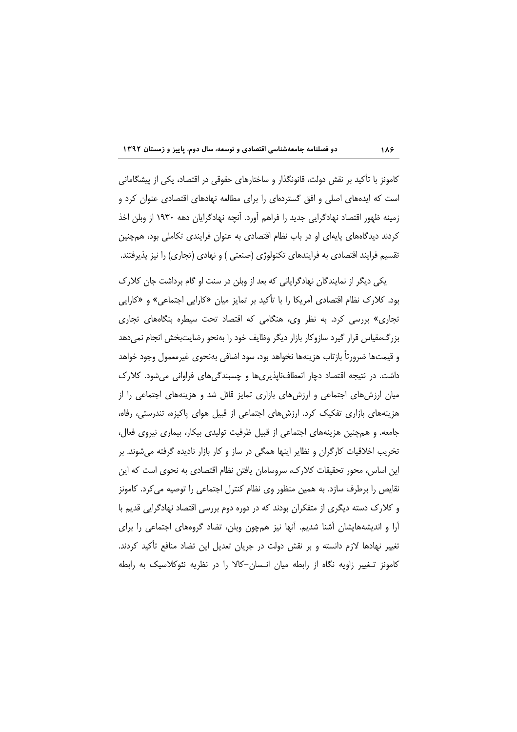کامونز با تأکید بر نقش دولت، قانونگذار و ساختارهای حقوقی در اقتصاد، یکی از پیشگامانی است که ایدههای اصلی و افق گستردهای را برای مطالعه نهادهای اقتصادی عنوان کرد و زمینه ظهور اقتصاد نهادگرایی جدید را فراهم آورد. آنچه نهادگرایان دهه ۱۹۳۰ از وبلن اخذ کردند دیدگاههای پایهای او در باب نظام اقتصادی به عنوان فرایندی تکاملی بود، همچنین تقسیم فرایند اقتصادی به فرایندهای تکنولوژی (صنعتی ) و نهادی (تجاری) را نیز پذیرفتند.

یکی دیگر از نمایندگان نهادگرایانی که بعد از وبلن در سنت او گام برداشت جان کلارک بود. کلارک نظام اقتصادی آمریکا را با تأکید بر تمایز میان «کارایی اجتماعی» و «کارایی تجاری» بررسی کرد. به نظر وی، هنگامی که اقتصاد تحت سیطره بنگاههای تجاری بزرگءقیاس قرار گیرد سازوکار بازار دیگر وظایف خود را بهنحو رضایتبخش انجام نمیدهد و قيمتها ضرورتاً بازتاب هزينهها نخواهد بود، سود اضافي بهنحوي غيرمعمول وجود خواهد داشت. در نتیجه اقتصاد دچار انعطافناپذیریها و چسبندگیهای فراوانی میشود. کلارک میان ارزشهای اجتماعی و ارزشهای بازاری تمایز قائل شد و هزینههای اجتماعی را از هزینههای بازاری تفکیک کرد. ارزشهای اجتماعی از قبیل هوای پاکیزه، تندرستی، رفاه، جامعه. و همچنین هزینههای اجتماعی از قبیل ظرفیت تولیدی بیکار، بیماری نیروی فعال، تخریب اخلاقیات کارگران و نظایر اینها همگی در ساز و کار بازار نادیده گرفته می شوند. بر این اساس، محور تحقیقات کلارک، سروسامان یافتن نظام اقتصادی به نحوی است که این نقایص را برطرف سازد. به همین منظور وی نظام کنترل اجتماعی را توصیه می کرد. کامونز و کلارک دسته دیگری از متفکران بودند که در دوره دوم بررسی اقتصاد نهادگرایی قدیم با آرا و اندیشههایشان آشنا شدیم. آنها نیز همچون وبلن، تضاد گروههای اجتماعی را برای تغییر نهادها لازم دانسته و بر نقش دولت در جریان تعدیل این تضاد منافع تأکید کردند. کامونز تـغییر زاویه نگاه از رابطه میان انـسان-کالا را در نظریه نئوکلاسیک به رابطه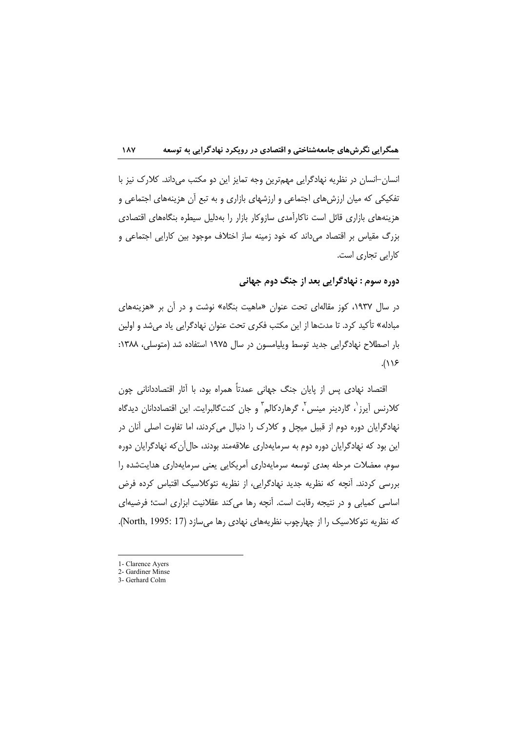انسان–انسان در نظریه نهادگرایی مهمترین وجه تمایز این دو مکتب میداند. کلارک نیز با تفکیکی که میان ارزش های اجتماعی و ارزشهای بازاری و به تبع آن هزینههای اجتماعی و هزینههای بازاری قائل است ناکارآمدی سازوکار بازار را بهدلیل سیطره بنگاههای اقتصادی بزرگ مقیاس بر اقتصاد میداند که خود زمینه ساز اختلاف موجود بین کارایی اجتماعی و کارایی تجاری است.

## دوره سوم : نهادگرايي بعد از جنگ دوم جهاني

در سال ۱۹۳۷، کوز مقالهای تحت عنوان «ماهیت بنگاه» نوشت و در آن بر «هزینههای مبادله» تأکید کرد. تا مدتها از این مکتب فکری تحت عنوان نهادگرایی یاد می شد و اولین بار اصطلاح نهادگرایی جدید توسط ویلیامسون در سال ۱۹۷۵ استفاده شد (متوسلی، ۱۳۸۸:  $(18)$ 

اقتصاد نهادی پس از پایان جنگ جهانی عمدتاً همراه بود، با آثار اقتصاددانانی چون كلارنس أيرز<sup>'</sup>، گاردينر مينس'ً، گرهاردكالم<sup>"</sup> و جان كنتگالبرايت. اين اقتصاددانان ديدگاه نهادگرایان دوره دوم از قبیل میچل و کلارک را دنبال می کردند، اما تفاوت اصلی آنان در این بود که نهادگرایان دوره دوم به سرمایهداری علاقهمند بودند، حال آن که نهادگرایان دوره سوم، معضلات مرحله بعدی توسعه سرمایهداری آمریکایی یعنی سرمایهداری هدایتشده را بررسی کردند. آنچه که نظریه جدید نهادگرایی، از نظریه نئوکلاسیک اقتباس کرده فرض اساسی کمپابی و در نتیجه رقابت است. آنچه رها می کند عقلانیت ابزاری است؛ فرضیهای که نظریه نئوکلاسیک را از چهارچوب نظریههای نهادی رها میسازد (North, 1995: 17).

<sup>1-</sup> Clarence Ayers

<sup>2-</sup> Gardiner Minse 3- Gerhard Colm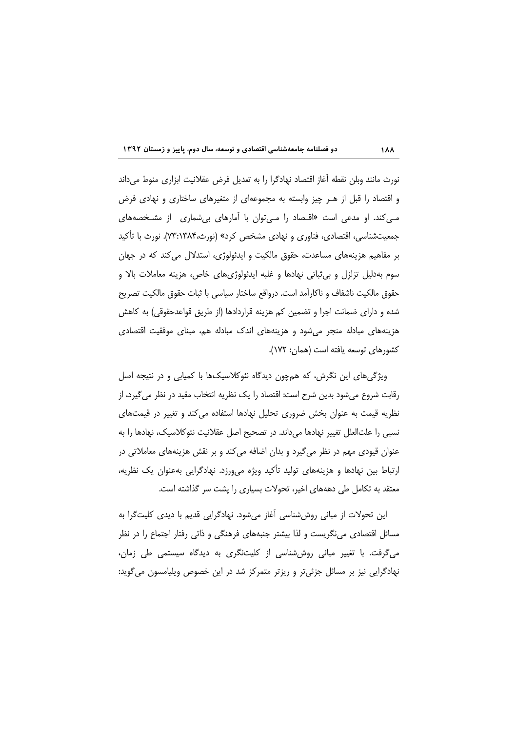نورث مانند وبلن نقطه أغاز اقتصاد نهادگرا را به تعديل فرض عقلانيت ابزاري منوط ميداند و اقتصاد را قبل از هـر چیز وابسته به مجموعهای از متغیرهای ساختاری و نهادی فرض می کند. او مدعی است «اقصاد را می توان با آمارهای بی شماری از مشخصههای جمعیتشناسی، اقتصادی، فناوری و نهادی مشخص کرد» (نورث،۷۳:۱۳۸۴). نورث با تأکید بر مفاهیم هزینههای مساعدت، حقوق مالکیت و ایدئولوژی، استدلال میکند که در جهان سوم بەدلیل تزلزل و بی ثباتی نهادها و غلبه ایدئولوژیهای خاص، هزینه معاملات بالا و حقوق مالكيت ناشفاف و ناكارآمد است. درواقع ساختار سياسي با ثبات حقوق مالكيت تصريح شده و دارای ضمانت اجرا و تضمین کم هزینه قراردادها (از طریق قواعدحقوقی) به کاهش هزینههای مبادله منجر میشود و هزینههای اندک مبادله هم، مبنای موفقیت اقتصادی كشورهاي توسعه يافته است (همان: ١٧٢).

ویژگیهای این نگرش، که همچون دیدگاه نئوکلاسیکها با کمیابی و در نتیجه اصل رقابت شروع میشود بدین شرح است: اقتصاد را یک نظریه انتخاب مقید در نظر می5یرد، از نظریه قیمت به عنوان بخش ضروری تحلیل نهادها استفاده می کند و تغییر در قیمتهای نسبی را علتالعلل تغییر نهادها می داند. در تصحیح اصل عقلانیت نئوکلاسیک، نهادها را به عنوان قیودی مهم در نظر می گیرد و بدان اضافه می کند و بر نقش هزینههای معاملاتی در ارتباط بین نهادها و هزینههای تولید تأکید ویژه می,ورزد. نهادگرایی بهعنوان یک نظریه، معتقد به تکامل طی دهههای اخیر، تحولات بسیاری را پشت سر گذاشته است.

این تحولات از مبانی روش،شناسی آغاز می،شود. نهادگرایی قدیم با دیدی کلیتگرا به مسائل اقتصادی می نگریست و لذا بیشتر جنبههای فرهنگی و ذاتی رفتار اجتماع را در نظر می گرفت. با تغییر مبانی روششناسی از کلیتنگری به دیدگاه سیستمی طی زمان، نهادگرایی نیز بر مسائل جزئی تر و ریزتر متمرکز شد در این خصوص ویلیامسون می گوید: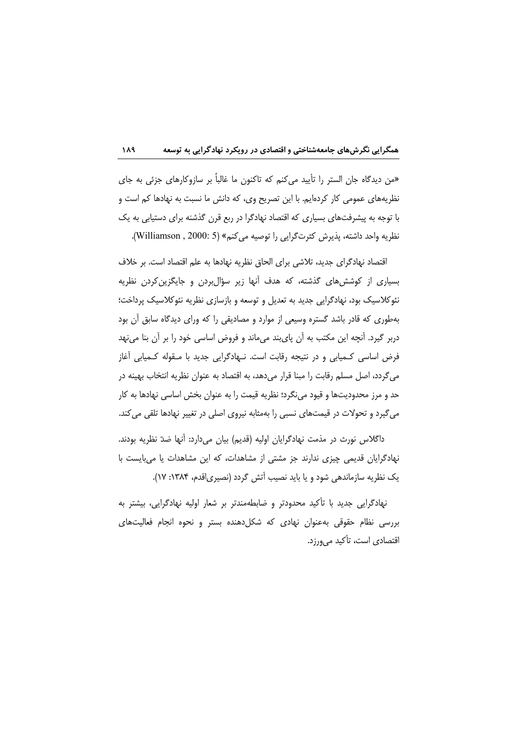«من دیدگاه جان الستر را تأیید می کنم که تاکنون ما غالباً بر سازوکارهای جزئی به جای نظریههای عمومی کار کردهایم. با این تصریح وی، که دانش ما نسبت به نهادها کم است و با توجه به پیشرفتهای بسیاری که اقتصاد نهادگرا در ربع قرن گذشنه برای دستیابی به یک نظريه واحد داشته، پذيرش كثرت گرايي را توصيه مي كنم» (Williamson , 2000: 5).

اقتصاد نهادگرای جدید، تلاشی برای الحاق نظریه نهادها به علم اقتصاد است. بر خلاف بسیاری از کوشش های گذشته، که هدف آنها زیر سؤال بردن و جایگزین کردن نظریه نئوکلاسیک بود، نهادگرایی جدید به تعدیل و توسعه و بازسازی نظریه نئوکلاسیک پرداخت؛ بهطوری که قادر باشد گستره وسیعی از موارد و مصادیقی را که ورای دیدگاه سابق آن بود دربر گیرد. آنچه این مکتب به آن پایبند میماند و فروض اساسی خود را بر آن بنا مینهد فرض اساسی کـمیابی و در نتیجه رقابت است. نـهادگرایی جدید با مـقوله کـمیابی آغاز می گردد، اصل مسلم رقابت را مبنا قرار می دهد، به اقتصاد به عنوان نظریه انتخاب بهینه در حد و مرز محدودیتها و قیود می نگرد؛ نظریه قیمت را به عنوان بخش اساسی نهادها به کار می گیرد و تحولات در قیمتهای نسبی را بهمثابه نیروی اصلی در تغییر نهادها تلقی می کند.

داگلاس نورث در مذمت نهادگرایان اولیه (قدیم) بیان میدارد: آنها ضدّ نظریه بودند. نهادگرایان قدیمی چیزی ندارند جز مشتی از مشاهدات، که این مشاهدات یا میبایست با یک نظریه سازماندهی شود و یا باید نصیب آتش گردد (نصیریاقدم، ۱۳۸۴: ۱۷).

نهادگرایی جدید با تأکید محدودتر و ضابطهمندتر بر شعار اولیه نهادگرایی، بیشتر به بررسی نظام حقوقی به عنوان نهادی که شکل دهنده بستر و نحوه انجام فعالیتهای اقتصادی است، تأکید می ورزد.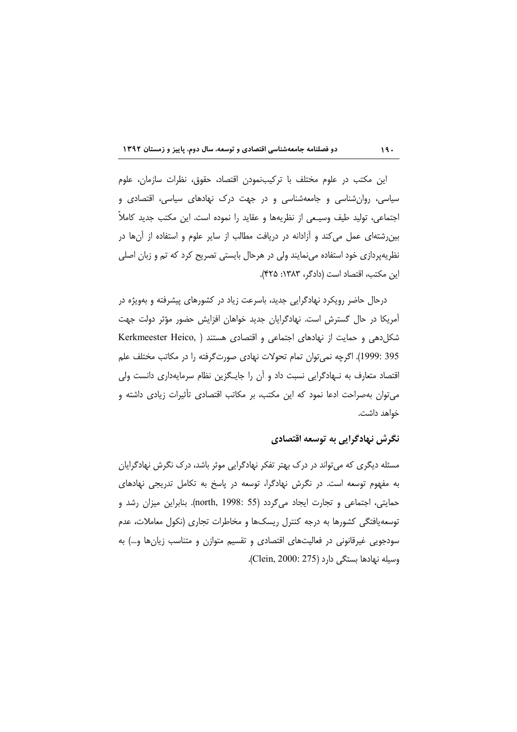این مکتب در علوم مختلف با ترکیبنمودن اقتصاد، حقوق، نظرات سازمان، علوم سیاسی، روانشناسی و جامعهشناسی و در جهت درک نهادهای سیاسی، اقتصادی و اجتماعی، تولید طیف وسیعی از نظریهها و عقاید را نموده است. این مکتب جدید کاملاً بین رشتهای عمل می کند و آزادانه در دریافت مطالب از سایر علوم و استفاده از آنها در نظریهپردازی خود استفاده مینمایند ولی در هرحال بایستی تصریح کرد که تم و زبان اصلی این مکتب، اقتصاد است (دادگر، ۱۳۸۳: ۴۲۵).

درحال حاضر رویکرد نهادگرایی جدید، باسرعت زیاد در کشورهای پیشرفته و بهویژه در آمریکا در حال گسترش است. نهادگرایان جدید خواهان افزایش حضور مؤثر دولت جهت شکل دهی و حمایت از نهادهای اجتماعی و اقتصادی هستند ( Kerkmeester Heico, 395 :1999). اگرچه نمی توان تمام تحولات نهادی صورت گرفته را در مكاتب مختلف علم اقتصاد متعارف به نـهادگرایی نسبت داد و آن را جایـگزین نظام سرمایهداری دانست ولی می توان بهصراحت ادعا نمود که این مکتب، بر مکاتب اقتصادی تأثیرات زیادی داشته و خواهد داشت.

## نگرش نهادگرایی به توسعه اقتصادی

مسئله دیگری که می تواند در درک بهتر تفکر نهادگرایی موثر باشد، درک نگرش نهادگرایان به مفهوم توسعه است. در نگرش نهادگرا، توسعه در پاسخ به تکامل تدریجی نهادهای حمايتي، اجتماعي وتجارت ايجاد مي گردد (north, 1998: 55). بنابراين ميزان رشد و توسعه یافتگی کشورها به درجه کنترل ریسکها و مخاطرات تجاری (نکول معاملات، عدم سودجویی غیرقانونی در فعالیتهای اقتصادی و تقسیم متوازن و متناسب زیانها و…) به وسيله نهادها بستگى دارد (Clein, 2000: 275).

 $19.$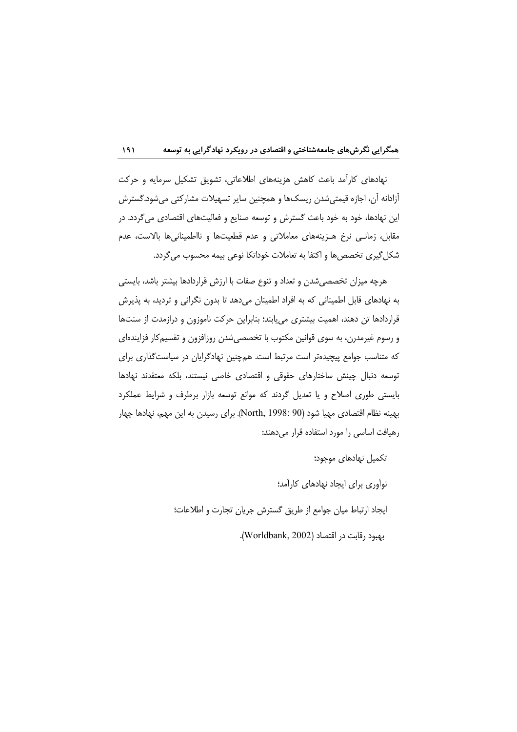نهادهای کارآمد باعث کاهش هزینههای اطلاعاتی، تشویق تشکیل سرمایه و حرکت آزادانه آن، اجازه قیمتیشدن ریسکها و همچنین سایر تسهیلات مشارکتی میشود.گسترش این نهادها، خود به خود باعث گسترش و توسعه صنایع و فعالیتهای اقتصادی می گردد. در مقابل، زمانی نرخ هـزینههای معاملاتی و عدم قطعیتها و نااطمینانیها بالاست، عدم شکل گیری تخصص ها و اکتفا به تعاملات خوداتکا نوعی بیمه محسوب می گردد.

هرچه میزان تخصصی شدن و تعداد و تنوع صفات با ارزش قراردادها بیشتر باشد، بایستی به نهادهای قابل اطمینانی که به افراد اطمینان میدهد تا بدون نگرانی و تردید، به پذیرش قراردادها تن دهند، اهمیت بیشتری می یابند؛ بنابراین حرکت ناموزون و درازمدت از سنتها و رسوم غیرمدرن، به سوی قوانین مکتوب با تخصصی شدن روزافزون و تقسیم کار فزایندهای که متناسب جوامع پیچیدهتر است مرتبط است. همچنین نهادگرایان در سیاست گذاری برای توسعه دنبال چینش ساختارهای حقوقی و اقتصادی خاصی نیستند، بلکه معتقدند نهادها بایستی طوری اصلاح و یا تعدیل گردند که موانع توسعه بازار برطرف و شرایط عملکرد بهينه نظام اقتصادي مهيا شود (North, 1998: 90). براي رسيدن به اين مهم، نهادها چهار رهیافت اساسی را مورد استفاده قرار می دهند:

تکمیل نهادهای موجود؛

نوآوری برای ایجاد نهادهای کارآمد؛

ايجاد ارتباط ميان جوامع از طريق گسترش جريان تجارت و اطلاعات؛

بهبود رقابت در اقتصاد (Worldbank, 2002).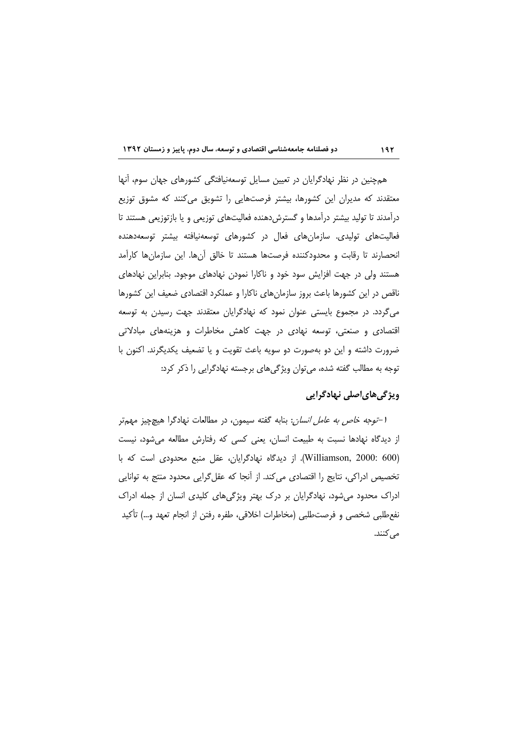همچنین در نظر نهادگرایان در تعیین مسایل توسعهنیافتگی کشورهای جهان سوم، آنها معتقدند که مدیران این کشورها، بیشتر فرصتهایی را تشویق میکنند که مشوق توزیع درآمدند تا تولید بیشتر درآمدها و گسترشدهنده فعالیتهای توزیعی و یا بازتوزیعی هستند تا فعالیتهای تولیدی. سازمانهای فعال در کشورهای توسعهنیافته بیشتر توسعهدهنده انحصارند تا رقابت و محدودکننده فرصتها هستند تا خالق آنها. این سازمانها کارآمد هستند ولی در جهت افزایش سود خود و ناکارا نمودن نهادهای موجود. بنابراین نهادهای ناقص در این کشورها باعث بروز سازمانهای ناکارا و عملکرد اقتصادی ضعیف این کشورها میگردد. در مجموع بایستی عنوان نمود که نهادگرایان معتقدند جهت رسیدن به توسعه اقتصادی و صنعتی، توسعه نهادی در جهت کاهش مخاطرات و هزینههای مبادلاتی ضرورت داشته و این دو بهصورت دو سویه باعث تقویت و یا تضعیف یکدیگرند. اکنون با توجه به مطالب گفته شده، میتوان ویژگیهای برجسته نهادگرایی را ذکر کرد:

# ويژگى هاي اصلى نهادگرايي

ا*–توجه خاص به عامل انسان*: بنابه گفته سیمون، در مطالعات نهادگرا هیچچیز مهمتر از دیدگاه نهادها نسبت به طبیعت انسان، یعنی کسی که رفتارش مطالعه میشود، نیست (Williamson, 2000: 600). از دیدگاه نهادگرایان، عقل منبع محدودی است که با تخصیص ادراکی، نتایج را اقتصادی میکند. از آنجا که عقل گرایی محدود منتج به توانایی ادراک محدود می شود، نهادگرایان بر درک بهتر ویژگیهای کلیدی انسان از جمله ادراک نفعطلبی شخصی و فرصتطلبی (مخاطرات اخلاقی، طفره رفتن از انجام تعهد و…) تأکید مى كنند.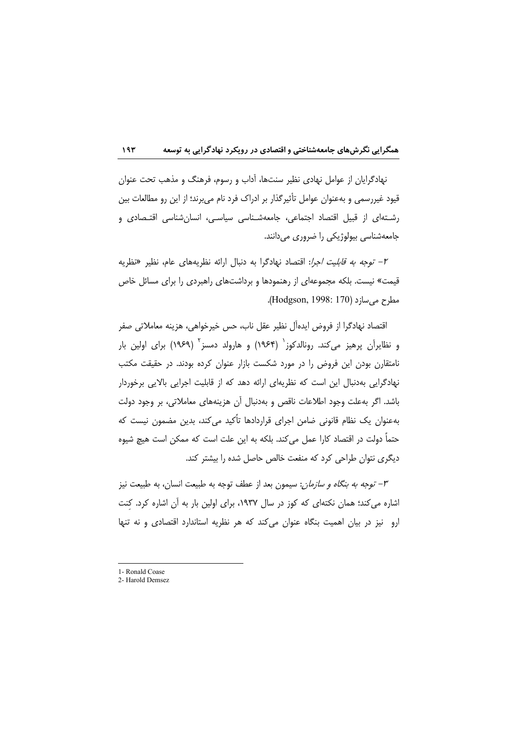نهادگرایان از عوامل نهادی نظیر سنتها، آداب و رسوم، فرهنگ و مذهب تحت عنوان قیود غیررسمی و بهعنوان عوامل تأثیرگذار بر ادراک فرد نام می برند؛ از این رو مطالعات بین رشتهای از قبیل اقتصاد اجتماعی، جامعهشناسی سیاسی، انسانشناسی اقتصادی و جامعهشناسی بیولوژیکی را ضروری میدانند.

۲- *توجه به قابلیت اجرا*: اقتصاد نهادگرا به دنبال ارائه نظریههای عام، نظیر «نظریه قیمت» نیست. بلکه مجموعهای از رهنمودها و برداشتهای راهبردی را برای مسائل خاص مطرح مے سازد (Hodgson, 1998: 170).

اقتصاد نهادگرا از فروض ايدهآل نظير عقل ناب، حس خيرخواهي، هزينه معاملاتي صفر و نظایراَن پرهیز میکند. رونالدکوز` (۱۹۶۴) و هارولد دمسز<sup>۲</sup> (۱۹۶۹) برای اولین بار نامتقارن بودن این فروض را در مورد شکست بازار عنوان کرده بودند. در حقیقت مکتب نهادگرایی بهدنبال این است که نظریهای ارائه دهد که از قابلیت اجرایی بالایی برخوردار باشد. اگر به علت وجود اطلاعات ناقص و بهدنبال آن هزینههای معاملاتی، بر وجود دولت بهعنوان یک نظام قانونی ضامن اجرای قراردادها تأکید می کند، بدین مضمون نیست که حتماً دولت در اقتصاد كارا عمل مى كند. بلكه به اين علت است كه ممكن است هيچ شيوه دیگری نتوان طراحی کرد که منفعت خالص حاصل شده را بیشتر کند.

٣- *توجه به بنگاه و سازمان:* سیمون بعد از عطف توجه به طبیعت انسان، به طبیعت نیز اشاره می کند؛ همان نکتهای که کوز در سال ۱۹۳۷، برای اولین بار به آن اشاره کرد. کنت ارو نیز در بیان اهمیت بنگاه عنوان می کند که هر نظریه استاندارد اقتصادی و نه تنها

<sup>1-</sup> Ronald Coase

<sup>2.</sup> Harold Demsez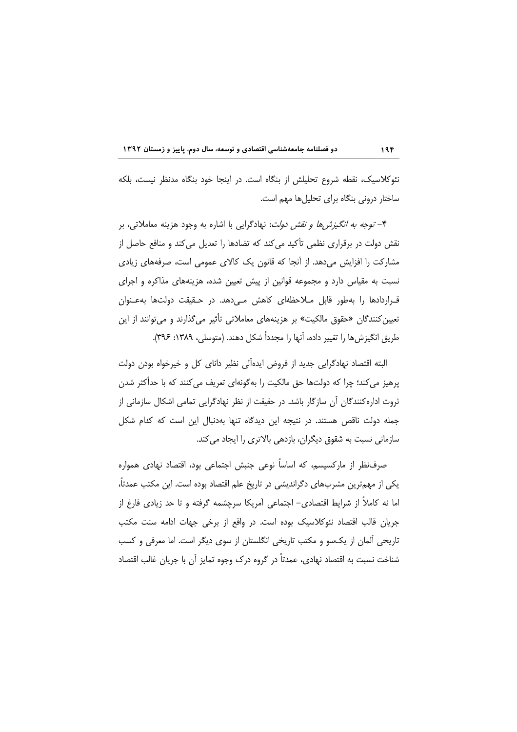نئوكلاسيك، نقطه شروع تحليلش از بنگاه است. در اينجا خود بنگاه مدنظر نيست، بلكه ساختار درونی بنگاه برای تحلیلها مهم است.

194

۴– *توجه به انگیزش ها و نقش دولت*: نهادگرایی با اشاره به وجود هزینه معاملاتی، بر نقش دولت در برقراری نظمی تأکید می کند که تضادها را تعدیل می کند و منافع حاصل از مشارکت را افزایش می دهد. از آنجا که قانون یک کالای عمومی است، صرفههای زیادی نسبت به مقیاس دارد و مجموعه قوانین از پیش تعیین شده، هزینههای مذاکره و اجرای قـراردادها را بهطور قابل مـلاحظهای کاهش مـی،دهد. در حـقیقت دولتها بهعـنوان تعیین کنندگان «حقوق مالکیت» بر هزینههای معاملاتی تأثیر میگذارند و می توانند از این طريق انگيزش ها را تغيير داده، آنها را مجدداً شكل دهند. (متوسلي، ١٣٨٩: ٣٩۶).

البته اقتصاد نهادگرایی جدید از فروض ایدهآلی نظیر دانای کل و خیرخواه بودن دولت پرهیز می کند؛ چرا که دولتها حق مالکیت را بهگونهای تعریف می کنند که با حدأکثر شدن ثروت اداره کنندگان آن سازگار باشد. در حقیقت از نظر نهادگرایی تمامی اشکال سازمانی از جمله دولت ناقص هستند. در نتیجه این دیدگاه تنها بهدنبال این است که کدام شکل سازمانی نسبت به شقوق دیگران، بازدهی بالاتری را ایجاد می کند.

صرفنظر از مارکسیسم، که اساساً نوعی جنبش اجتماعی بود، اقتصاد نهادی همواره یکی از مهمترین مشربهای دگراندیشی در تاریخ علم اقتصاد بوده است. این مکتب عمدتاً، اما نه کاملاً از شرایط اقتصادی- اجتماعی آمریکا سرچشمه گرفته و تا حد زیادی فارغ از جریان قالب اقتصاد نئوکلاسیک بوده است. در واقع از برخی جهات ادامه سنت مکتب تاریخی آلمان از یکسو و مکتب تاریخی انگلستان از سوی دیگر است. اما معرفی و کسب شناخت نسبت به اقتصاد نهادي، عمدتاً در گروه درک وجوه تمایز آن با جریان غالب اقتصاد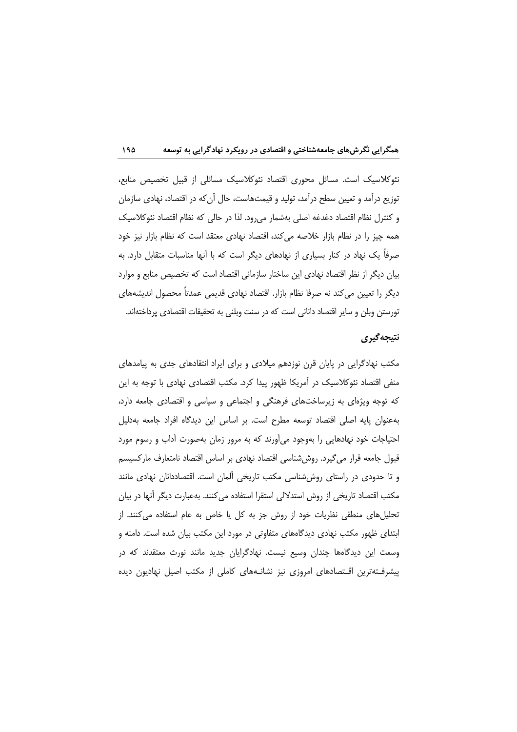نئوكلاسيك است. مسائل محوري اقتصاد نئوكلاسيك مسائلي از قبيل تخصيص منابع، توزیع درآمد و تعیین سطح درآمد، تولید و قیمتهاست، حال آن که در اقتصاد، نهادی سازمان و کنترل نظام اقتصاد دغدغه اصلی بهشمار میرود. لذا در حالی که نظام اقتصاد نئوکلاسیک همه چیز را در نظام بازار خلاصه میکند، اقتصاد نهادی معتقد است که نظام بازار نیز خود صرفاً یک نهاد در کنار بسیاری از نهادهای دیگر است که با آنها مناسبات متقابل دارد. به بیان دیگر از نظر اقتصاد نهادی این ساختار سازمانی اقتصاد است که تخصیص منابع و موارد دیگر را تعیین می کند نه صرفا نظام بازار. اقتصاد نهادی قدیمی عمدتاً محصول اندیشههای تورستن وبلن و سایر اقتصاد دانانی است که در سنت وبلنی به تحقیقات اقتصادی پرداختهاند.

## نتيجه گيري

مکتب نهادگرایی در پایان قرن نوزدهم میلادی و برای ایراد انتقادهای جدی به پیامدهای منفی اقتصاد نئوکلاسیک در آمریکا ظهور پیدا کرد. مکتب اقتصادی نهادی با توجه به این که توجه ویژهای به زیرساختهای فرهنگی و اجتماعی و سیاسی و اقتصادی جامعه دارد، بهعنوان پایه اصلی اقتصاد توسعه مطرح است. بر اساس این دیدگاه افراد جامعه بهدلیل احتیاجات خود نهادهایی را بهوجود میآورند که به مرور زمان بهصورت آداب و رسوم مورد قبول جامعه قرار می گیرد. روششناسی اقتصاد نهادی بر اساس اقتصاد نامتعارف مارکسیسم و تا حدودی در راستای روششناسی مکتب تاریخی آلمان است. اقتصاددانان نهادی مانند مکتب اقتصاد تاریخی از روش استدلالی استقرا استفاده میکنند. بهعبارت دیگر آنها در بیان تحلیلهای منطقی نظریات خود از روش جز به کل یا خاص به عام استفاده میکنند. از ابتدای ظهور مکتب نهادی دیدگاههای متفاوتی در مورد این مکتب بیان شده است. دامنه و وسعت این دیدگاهها چندان وسیع نیست. نهادگرایان جدید مانند نورث معتقدند که در پیشرفـتەترین اقـتصادهای امروزی نیز نشانــههای کاملی از مکتب اصیل نهادیون دیده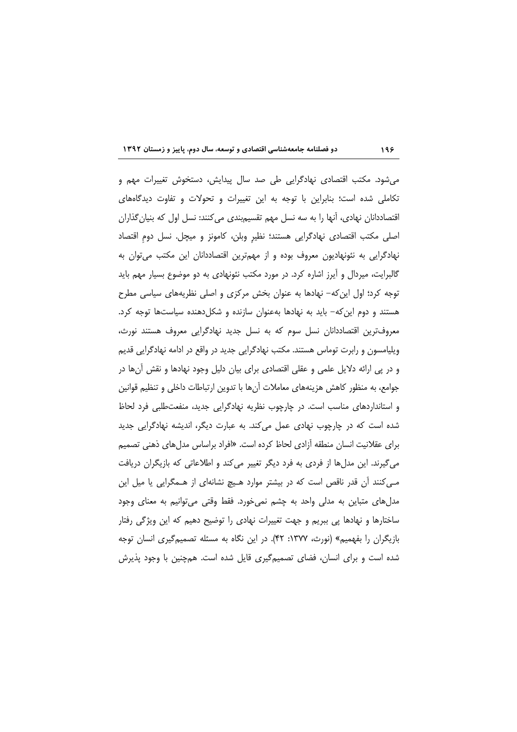میشود. مکتب اقتصادی نهادگرایی طی صد سال پیدایش، دستخوش تغییرات مهم و تکاملی شده است؛ بنابراین با توجه به این تغییرات و تحولات و تفاوت دیدگاههای اقتصاددانان نهادی، أنها را به سه نسل مهم تقسیمٖبندی میکنند: نسل اول که بنیانِگذاران اصلی مکتب اقتصادی نهادگرایی هستند؛ نظیر وبلن، کامونز و میچل. نسل دوم اقتصاد نهادگرایی به نئونهادیون معروف بوده و از مهمترین اقتصاددانان این مکتب میتوان به گالبرایت، میردال و اَیرز اشاره کرد. در مورد مکتب نئونهادی به دو موضوع بسیار مهم باید توجه کرد؛ اول این که– نهادها به عنوان بخش مرکزی و اصلی نظریههای سیاسی مطرح هستند و دوم این که– باید به نهادها بهعنوان سازنده و شکلدهنده سیاستها توجه کرد. معروفترین اقتصاددانان نسل سوم که به نسل جدید نهادگرایی معروف هستند نورث، ویلیامسون و رابرت توماس هستند. مکتب نهادگرایی جدید در واقع در ادامه نهادگرایی قدیم و در پی ارائه دلایل علمی و عقلی اقتصادی برای بیان دلیل وجود نهادها و نقش أنها در جوامع، به منظور كاهش هزينههاى معاملات أنها با تدوين ارتباطات داخلي و تنظيم قوانين و استانداردهای مناسب است. در چارچوب نظریه نهادگرایی جدید، منفعت طلبی فرد لحاظ شده است که در چارچوب نهادی عمل می کند. به عبارت دیگر، اندیشه نهادگرایی جدید برای عقلانیت انسان منطقه آزادی لحاظ کرده است. «افراد براساس مدلهای ذهنی تصمیم می گیرند. این مدلها از فردی به فرد دیگر تغییر می کند و اطلاعاتی که بازیگران دریافت مـی کنند آن قدر ناقص است که در بیشتر موارد هـیچ نشانهای از هـمگرایی یا میل این مدلهای متباین به مدلی واحد به چشم نمیخورد. فقط وقتی میتوانیم به معنای وجود ساختارها و نهادها پی ببریم و جهت تغییرات نهادی را توضیح دهیم که این ویژگی رفتار بازیگران را بفهمیم» (نورث، ۱۳۷۷: ۴۲). در این نگاه به مسئله تصمیم *گ*یری انسان توجه شده است و برای انسان، فضای تصمیمگیری قایل شده است. همچنین با وجود پذیرش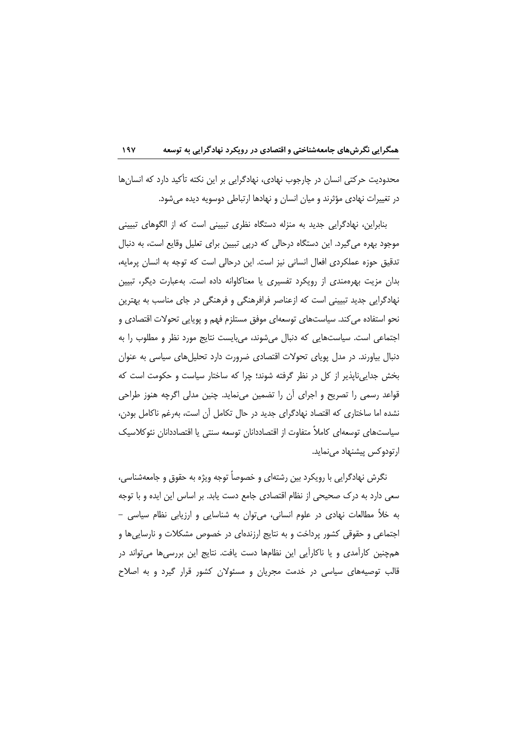محدودیت حرکتی انسان در چارجوب نهادی، نهادگرایی بر این نکته تأکید دارد که انسانها در تغییرات نهادی مؤثرند و میان انسان و نهادها ارتباطی دوسویه دیده میشود.

بنابراین، نهادگرایی جدید به منزله دستگاه نظری تبیینی است که از الگوهای تبیینی موجود بهره می گیرد. این دستگاه درحالی که دریی تبیین برای تعلیل وقایع است، به دنبال تدقیق حوزه عملکردی افعال انسانی نیز است. این درحالی است که توجه به انسان پرمایه، بدان مزیت بهرهمندی از رویکرد تفسیری یا معناکاوانه داده است. بهعبارت دیگر، تبیین نهادگرایی جدید تبیینی است که ازعناصر فرافرهنگی و فرهنگی در جای مناسب به بهترین نحو استفاده می کند. سیاستهای توسعهای موفق مستلزم فهم و پوپایی تحولات اقتصادی و اجتماعی است. سیاستهایی که دنبال میشوند، میبایست نتایج مورد نظر و مطلوب را به دنبال بیاورند. در مدل پویای تحولات اقتصادی ضرورت دارد تحلیلهای سیاسی به عنوان بخش جدایی ناپذیر از کل در نظر گرفته شوند؛ چرا که ساختار سیاست و حکومت است که قواعد رسمي را تصريح و اجراي أن را تضمين ميiمايد. چنين مدلي اگرچه هنوز طراحي نشده اما ساختاری که اقتصاد نهادگرای جدید در حال تکامل آن است، بهرغم ناکامل بودن، سیاستهای توسعهای کاملاً متفاوت از اقتصاددانان توسعه سنتی یا اقتصاددانان نئوکلاسیک ارتودوکس پیشنهاد می نماید.

نگرش نهادگرایی با رویکرد بین رشتهای و خصوصاً توجه ویژه به حقوق و جامعهشناسی، سعی دارد به درک صحیحی از نظام اقتصادی جامع دست یابد. بر اساس این ایده و با توجه به خلاً مطالعات نهادی در علوم انسانی، می توان به شناسایی و ارزیابی نظام سیاسی – اجتماعی و حقوقی کشور پرداخت و به نتایج ارزندهای در خصوص مشکلات و نارساییها و همچنین کارآمدی و یا ناکارآیی این نظامها دست یافت. نتایج این بررسیها میتواند در قالب توصیههای سیاسی در خدمت مجریان و مسئولان کشور قرار گیرد و به اصلاح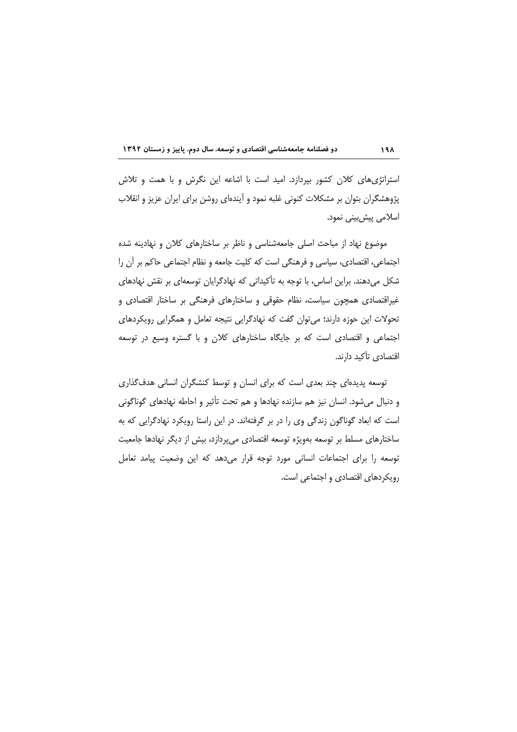استراتژی های کلان کشور بپردازد. امید است با اشاعه این نگرش و با همت و تلاش پژوهشگران بتوان بر مشكلات كنونى غلبه نمود و آيندهاى روشن براى ايران عزيز و انقلاب اسلامی پیشبینی نمود.

موضوع نهاد از مباحث اصلی جامعهشناسی و ناظر بر ساختارهای کلان و نهادینه شده اجتماعی، اقتصادی، سیاسی و فرهنگی است که کلیت جامعه و نظام اجتماعی حاکم بر آن را شکل می،دهند. براین اساس، با توجه به تأکیداتی که نهادگرایان توسعهای بر نقش نهادهای غیراقتصادی همچون سیاست، نظام حقوقی و ساختارهای فرهنگی بر ساختار اقتصادی و تحولات این حوزه دارند؛ می توان گفت که نهادگرایی نتیجه تعامل و همگرایی رویکردهای اجتماعی و اقتصادی است که بر جایگاه ساختارهای کلان و با گستره وسیع در توسعه اقتصادی تآکید دارند.

توسعه پدیدهای چند بعدی است که برای انسان و توسط کنشگران انسانی هدف گذاری و دنبال میشود. انسان نیز هم سازنده نهادها و هم تحت تأثیر و احاطه نهادهای گوناگونی است که ابعاد گوناگون زندگی وی را در بر گرفتهاند. در این راستا رویکرد نهادگرایی که به ساختارهای مسلط بر توسعه بهویژه توسعه اقتصادی میپردازد، بیش از دیگر نهادها جامعیت توسعه را برای اجتماعات انسانی مورد توجه قرار میدهد که این وضعیت پیامد تعامل رویکردهای اقتصادی و اجتماعی است.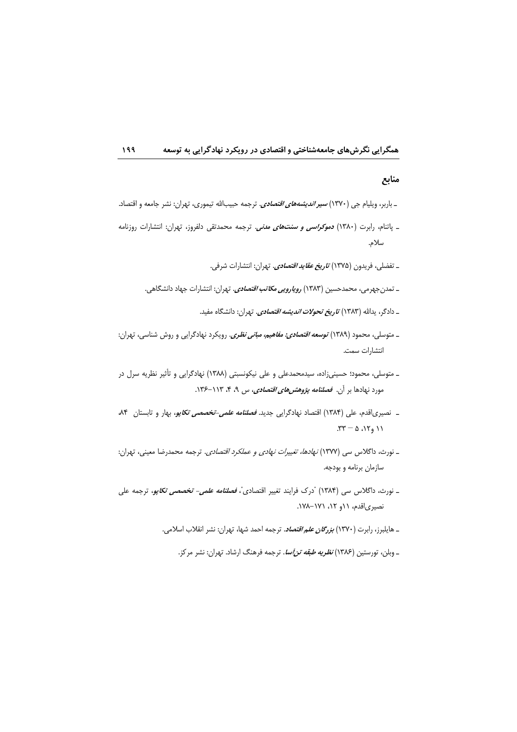### منابع

- \_ باربر، ويليام جي (١٣٧٠) *سير انديشەهاي اقتصادي*. ترجمه حبيبالله تيموري، تهران: نشر جامعه و اقتصاد. \_ پاتنام، رابرت (۱۳۸۰) *دموکراسی و سنت های مدنی.* ترجمه محمدتقی دلفروز، تهران: انتشارات روزنامه سلام.
	- ـ تفضلي، فريدون (١٣٧۵) *تاريخ عقايد اقتصادي.* تهران: انتشارات شرفي.
	- ـ تمدنجهرمی، محمدحسین (۱۳۸۳) *رویارویی مکاتب اقتصادی.* تهران: انتشارات جهاد دانشگاهی.
		- \_ دادگر، يدالله (١٣٨٣) *تاريخ تحولات انديشه اقتصادي*. تهران: دانشگاه مفيد.
- ـ متوسلی، محمود (۱۳۸۹) *ت<mark>وسعه <i>اقتصادی: مفاهیم، مبانی نظری*. رویکرد نهادگرایی و روش شناسی، تهران:</mark> انتشارات سمت.
- ـ متوسلی، محمود؛ حسینیزاده، سیدمحمدعلی و علی نیکونسبتی (۱۳۸۸) نهادگرایی و تأثیر نظریه سرل در مورد نهادها بر آن. فص*لنامه پژوهشرهای اقتصادی*، س ۹، ۴، ۱۱۳–۱۳۶.
- \_ نصیری|قدم، علی (۱۳۸۴) اقتصاد نهادگرایی جدید. *فصلنامه علمی-تخصصی تکاپو*، بهار و تابستان ۸۴،  $.55 - 0.15$  ( /  $\sqrt{2}$
- \_ نورث، داگلاس سی (۱۳۷۷) *نهادها، تغییرات نهادی و عملکرد اقتصادی*. ترجمه محمدرضا معینی، تهران: سازمان برنامه و بودجه.
- ــ نورث، داگلاس سی (۱۳۸۴) "درک فرایند تغییر اقتصادی"، *فصلنامه علمی- تخصصی تکاپو*، ترجمه علی نصیری|قدم، ۱۱و ۱۲، ۱۷۱–۱۷۸.
	- ـ هايلبرز، رابرت (١٣٧٠) *بزرگان علم اقتصاد.* ترجمه احمد شها، تهران: نشر انقلاب اسلامي.
		- ــ وبلن، تورستین (۱۳۸۶) *نظریه طبقه تن∫سا.* ترجمه فرهنگ ارشاد. تهران: نشر مرکز.